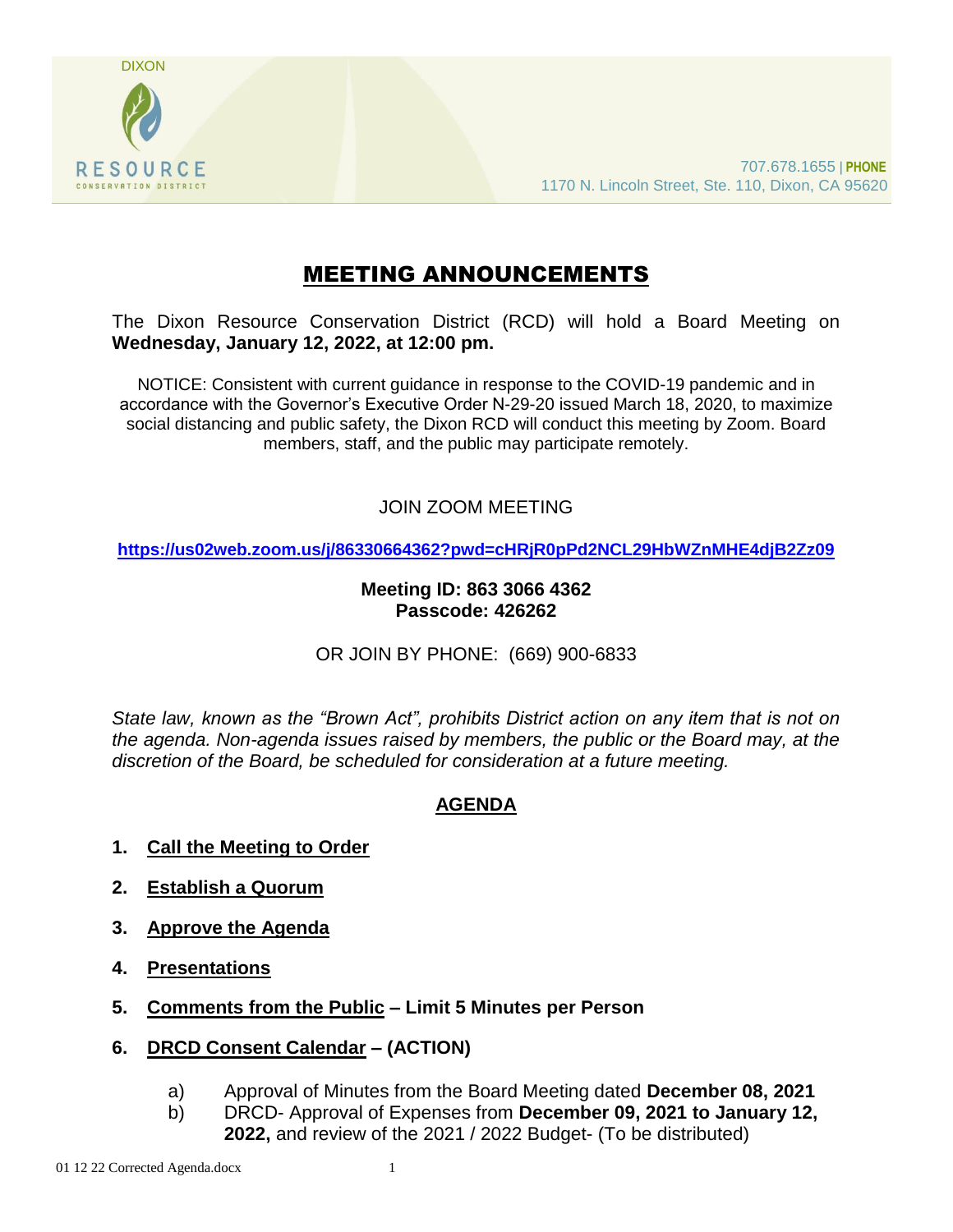

# MEETING ANNOUNCEMENTS

The Dixon Resource Conservation District (RCD) will hold a Board Meeting on **Wednesday, January 12, 2022, at 12:00 pm.** 

NOTICE: Consistent with current guidance in response to the COVID-19 pandemic and in accordance with the Governor's Executive Order N-29-20 issued March 18, 2020, to maximize social distancing and public safety, the Dixon RCD will conduct this meeting by Zoom. Board members, staff, and the public may participate remotely.

# JOIN ZOOM MEETING

**<https://us02web.zoom.us/j/86330664362?pwd=cHRjR0pPd2NCL29HbWZnMHE4djB2Zz09>**

# **Meeting ID: 863 3066 4362 Passcode: 426262**

OR JOIN BY PHONE: (669) 900-6833

*State law, known as the "Brown Act", prohibits District action on any item that is not on the agenda. Non-agenda issues raised by members, the public or the Board may, at the discretion of the Board, be scheduled for consideration at a future meeting.*

# **AGENDA**

- **1. Call the Meeting to Order**
- **2. Establish a Quorum**
- **3. Approve the Agenda**
- **4. Presentations**
- **5. Comments from the Public – Limit 5 Minutes per Person**
- **6. DRCD Consent Calendar – (ACTION)**
	- a) Approval of Minutes from the Board Meeting dated **December 08, 2021**
	- b) DRCD- Approval of Expenses from **December 09, 2021 to January 12, 2022,** and review of the 2021 / 2022 Budget- (To be distributed)